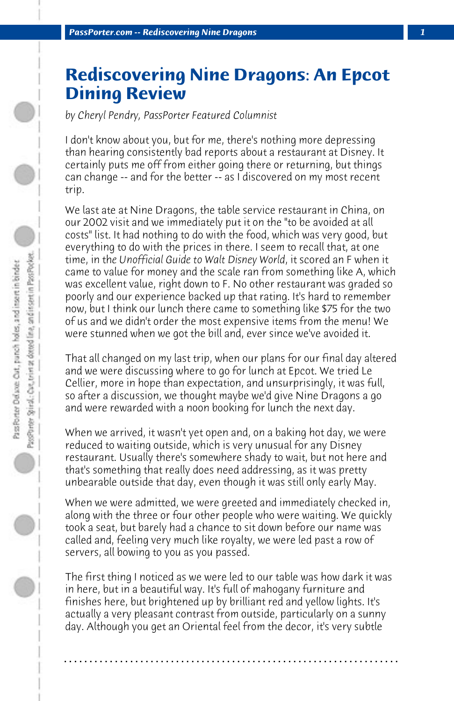## **Rediscovering Nine Dragons: An Epcot Dining Review**

*by Cheryl Pendry, PassPorter Featured Columnist*

I don't know about you, but for me, there's nothing more depressing than hearing consistently bad reports about a restaurant at Disney. It certainly puts me off from either going there or returning, but things can change -- and for the better -- as I discovered on my most recent trip.

We last ate at Nine Dragons, the table service restaurant in China, on our 2002 visit and we immediately put it on the "to be avoided at all costs" list. It had nothing to do with the food, which was very good, but everything to do with the prices in there. I seem to recall that, at one time, in th*e Unofficial Guide to Walt Disney World*, it scored an F when it came to value for money and the scale ran from something like A, which was excellent value, right down to F. No other restaurant was graded so poorly and our experience backed up that rating. It's hard to remember now, but I think our lunch there came to something like \$75 for the two of us and we didn't order the most expensive items from the menu! We were stunned when we got the bill and, ever since we've avoided it.

That all changed on my last trip, when our plans for our final day altered and we were discussing where to go for lunch at Epcot. We tried Le Cellier, more in hope than expectation, and unsurprisingly, it was full, so after a discussion, we thought maybe we'd give Nine Dragons a go and were rewarded with a noon booking for lunch the next day.

When we arrived, it wasn't yet open and, on a baking hot day, we were reduced to waiting outside, which is very unusual for any Disney restaurant. Usually there's somewhere shady to wait, but not here and that's something that really does need addressing, as it was pretty unbearable outside that day, even though it was still only early May.

When we were admitted, we were greeted and immediately checked in, along with the three or four other people who were waiting. We quickly took a seat, but barely had a chance to sit down before our name was called and, feeling very much like royalty, we were led past a row of servers, all bowing to you as you passed.

The first thing I noticed as we were led to our table was how dark it was in here, but in a beautiful way. It's full of mahogany furniture and finishes here, but brightened up by brilliant red and yellow lights. It's actually a very pleasant contrast from outside, particularly on a sunny day. Although you get an Oriental feel from the decor, it's very subtle

**. . . . . . . . . . . . . . . . . . . . . . . . . . . . . . . . . . . . . . . . . . . . . . . . . . . . . . . . . . . . . . . . . .**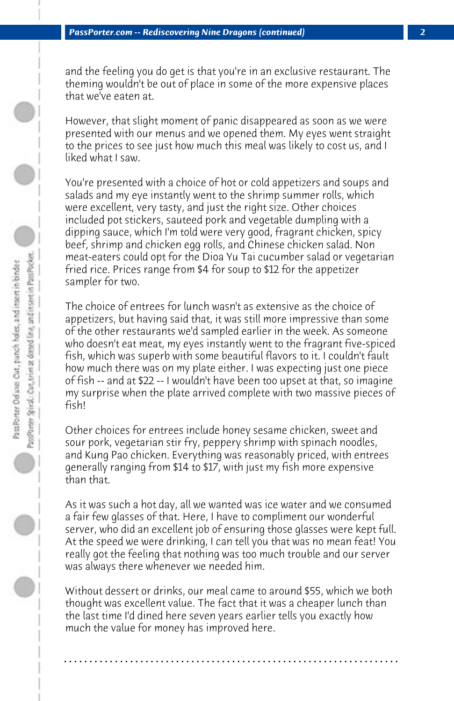and the feeling you do get is that you're in an exclusive restaurant. The theming wouldn't be out of place in some of the more expensive places that we've eaten at.

However, that slight moment of panic disappeared as soon as we were presented with our menus and we opened them. My eyes went straight to the prices to see just how much this meal was likely to cost us, and I liked what I saw.

You're presented with a choice of hot or cold appetizers and soups and salads and my eye instantly went to the shrimp summer rolls, which were excellent, very tasty, and just the right size. Other choices included pot stickers, sauteed pork and vegetable dumpling with a dipping sauce, which I'm told were very good, fragrant chicken, spicy beef, shrimp and chicken egg rolls, and Chinese chicken salad. Non meat-eaters could opt for the Dioa Yu Tai cucumber salad or vegetarian fried rice. Prices range from \$4 for soup to \$12 for the appetizer sampler for two.

The choice of entrees for lunch wasn't as extensive as the choice of appetizers, but having said that, it was still more impressive than some of the other restaurants we'd sampled earlier in the week. As someone who doesn't eat meat, my eyes instantly went to the fragrant five-spiced fish, which was superb with some beautiful flavors to it. I couldn't fault how much there was on my plate either. I was expecting just one piece of fish -- and at \$22 -- I wouldn't have been too upset at that, so imagine my surprise when the plate arrived complete with two massive pieces of fish!

Other choices for entrees include honey sesame chicken, sweet and sour pork, vegetarian stir fry, peppery shrimp with spinach noodles, and Kung Pao chicken. Everything was reasonably priced, with entrees generally ranging from \$14 to \$17, with just my fish more expensive than that.

As it was such a hot day, all we wanted was ice water and we consumed a fair few glasses of that. Here, I have to compliment our wonderful server, who did an excellent job of ensuring those glasses were kept full. At the speed we were drinking, I can tell you that was no mean feat! You really got the feeling that nothing was too much trouble and our server was always there whenever we needed him.

Without dessert or drinks, our meal came to around \$55, which we both thought was excellent value. The fact that it was a cheaper lunch than the last time I'd dined here seven years earlier tells you exactly how much the value for money has improved here.

**. . . . . . . . . . . . . . . . . . . . . . . . . . . . . . . . . . . . . . . . . . . . . . . . . . . . . . . . . . . . . . . . . .**